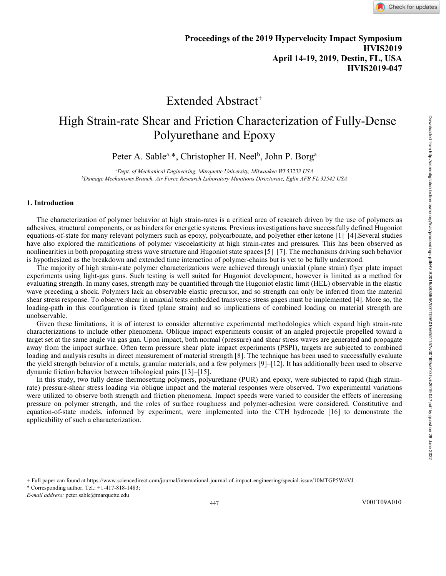## Extended Abstract<sup>+</sup>

# High Strain-rate Shear and Friction Characterization of Fully-Dense Polyurethane and Epoxy

Peter A. Sable<sup>a,[\\*](#page-0-0)</sup>, Christopher H. Neel<sup>b</sup>, John P. Borg<sup>a</sup>

*a Dept. of Mechanical Engineering, Marquette University, Milwaukee WI 53233 USA b Damage Mechanisms Branch, Air Force Research Laboratory Munitions Directorate, Eglin AFB FL 32542 USA*

#### **1. Introduction**

The characterization of polymer behavior at high strain-rates is a critical area of research driven by the use of polymers as adhesives, structural components, or as binders for energetic systems. Previous investigations have successfully defined Hugoniot equations-of-state for many relevant polymers such as epoxy, polycarbonate, and polyether ether ketone [1]–[4].Several studies have also explored the ramifications of polymer viscoelasticity at high strain-rates and pressures. This has been observed as nonlinearities in both propagating stress wave structure and Hugoniot state spaces [5]–[7]. The mechanisms driving such behavior is hypothesized as the breakdown and extended time interaction of polymer-chains but is yet to be fully understood.

The majority of high strain-rate polymer characterizations were achieved through uniaxial (plane strain) flyer plate impact experiments using light-gas guns. Such testing is well suited for Hugoniot development, however is limited as a method for evaluating strength. In many cases, strength may be quantified through the Hugoniot elastic limit (HEL) observable in the elastic wave preceding a shock. Polymers lack an observable elastic precursor, and so strength can only be inferred from the material shear stress response. To observe shear in uniaxial tests embedded transverse stress gages must be implemented [4]. More so, the loading-path in this configuration is fixed (plane strain) and so implications of combined loading on material strength are unobservable.

Given these limitations, it is of interest to consider alternative experimental methodologies which expand high strain-rate characterizations to include other phenomena. Oblique impact experiments consist of an angled projectile propelled toward a target set at the same angle via gas gun. Upon impact, both normal (pressure) and shear stress waves are generated and propagate away from the impact surface. Often term pressure shear plate impact experiments (PSPI), targets are subjected to combined loading and analysis results in direct measurement of material strength [8]. The technique has been used to successfully evaluate the yield strength behavior of a metals, granular materials, and a few polymers [9]–[12]. It has additionally been used to observe dynamic friction behavior between tribological pairs [13]–[15].

In this study, two fully dense thermosetting polymers, polyurethane (PUR) and epoxy, were subjected to rapid (high strainrate) pressure-shear stress loading via oblique impact and the material responses were observed. Two experimental variations were utilized to observe both strength and friction phenomena. Impact speeds were varied to consider the effects of increasing pressure on polymer strength, and the roles of surface roughness and polymer-adhesion were considered. Constitutive and equation-of-state models, informed by experiment, were implemented into the CTH hydrocode [16] to demonstrate the applicability of such a characterization.

\* Corresponding author. Tel.:  $+1-417-818-1483$ ;

<span id="page-0-0"></span><sup>+</sup> Full paper can found a[t https://www.sciencedirect.com/journal/international-journal-of-impact-engineering/special-issue/10MTGP5W4VJ](https://www.sciencedirect.com/journal/international-journal-of-impact-engineering/special-issue/10MTGP5W4VJ)

*E-mail address:* peter.sable@marquette.edu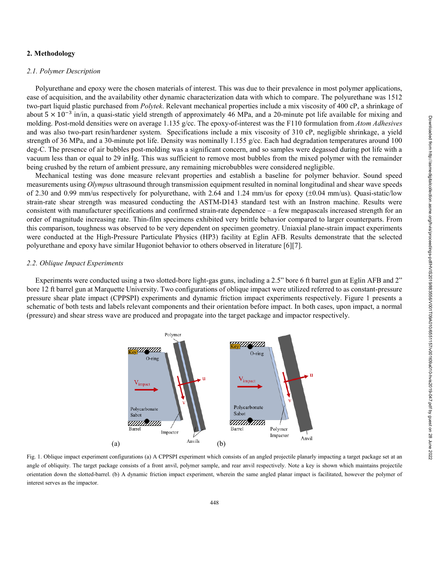### **2. Methodology**

#### *2.1. Polymer Description*

Polyurethane and epoxy were the chosen materials of interest. This was due to their prevalence in most polymer applications, ease of acquisition, and the availability other dynamic characterization data with which to compare. The polyurethane was 1512 two-part liquid plastic purchased from *Polytek*. Relevant mechanical properties include a mix viscosity of 400 cP, a shrinkage of about  $5 \times 10^{-3}$  in/in, a quasi-static yield strength of approximately 46 MPa, and a 20-minute pot life available for mixing and molding. Post-mold densities were on average 1.135 g/cc. The epoxy-of-interest was the F110 formulation from *Atom Adhesives* and was also two-part resin/hardener system. Specifications include a mix viscosity of 310 cP, negligible shrinkage, a yield strength of 36 MPa, and a 30-minute pot life. Density was nominally 1.155 g/cc. Each had degradation temperatures around 100 deg-C. The presence of air bubbles post-molding was a significant concern, and so samples were degassed during pot life with a vacuum less than or equal to 29 inHg. This was sufficient to remove most bubbles from the mixed polymer with the remainder being crushed by the return of ambient pressure, any remaining microbubbles were considered negligible.

Mechanical testing was done measure relevant properties and establish a baseline for polymer behavior. Sound speed measurements using *Olympus* ultrasound through transmission equipment resulted in nominal longitudinal and shear wave speeds of 2.30 and 0.99 mm/us respectively for polyurethane, with 2.64 and 1.24 mm/us for epoxy  $(\pm 0.04 \text{ mm/us})$ . Quasi-static/low strain-rate shear strength was measured conducting the ASTM-D143 standard test with an Instron machine. Results were consistent with manufacturer specifications and confirmed strain-rate dependence – a few megapascals increased strength for an order of magnitude increasing rate. Thin-film specimens exhibited very brittle behavior compared to larger counterparts. From this comparison, toughness was observed to be very dependent on specimen geometry. Uniaxial plane-strain impact experiments were conducted at the High-Pressure Particulate Physics (HP3) facility at Eglin AFB. Results demonstrate that the selected polyurethane and epoxy have similar Hugoniot behavior to others observed in literature [6][7].

### *2.2. Oblique Impact Experiments*

Experiments were conducted using a two slotted-bore light-gas guns, including a 2.5" bore 6 ft barrel gun at Eglin AFB and 2" bore 12 ft barrel gun at Marquette University. Two configurations of oblique impact were utilized referred to as constant-pressure pressure shear plate impact (CPPSPI) experiments and dynamic friction impact experiments respectively. Figure 1 presents a schematic of both tests and labels relevant components and their orientation before impact. In both cases, upon impact, a normal (pressure) and shear stress wave are produced and propagate into the target package and impactor respectively.



Fig. 1. Oblique impact experiment configurations (a) A CPPSPI experiment which consists of an angled projectile planarly impacting a target package set at an angle of obliquity. The target package consists of a front anvil, polymer sample, and rear anvil respectively. Note a key is shown which maintains projectile orientation down the slotted-barrel. (b) A dynamic friction impact experiment, wherein the same angled planar impact is facilitated, however the polymer of interest serves as the impactor.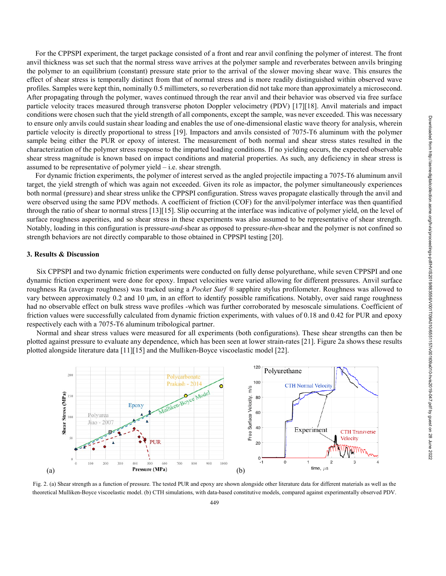For the CPPSPI experiment, the target package consisted of a front and rear anvil confining the polymer of interest. The front anvil thickness was set such that the normal stress wave arrives at the polymer sample and reverberates between anvils bringing the polymer to an equilibrium (constant) pressure state prior to the arrival of the slower moving shear wave. This ensures the effect of shear stress is temporally distinct from that of normal stress and is more readily distinguished within observed wave profiles. Samples were kept thin, nominally 0.5 millimeters, so reverberation did not take more than approximately a microsecond. After propagating through the polymer, waves continued through the rear anvil and their behavior was observed via free surface particle velocity traces measured through transverse photon Doppler velocimetry (PDV) [17][18]. Anvil materials and impact conditions were chosen such that the yield strength of all components, except the sample, was never exceeded. This was necessary to ensure only anvils could sustain shear loading and enables the use of one-dimensional elastic wave theory for analysis, wherein particle velocity is directly proportional to stress [19]. Impactors and anvils consisted of 7075-T6 aluminum with the polymer sample being either the PUR or epoxy of interest. The measurement of both normal and shear stress states resulted in the characterization of the polymer stress response to the imparted loading conditions. If no yielding occurs, the expected observable shear stress magnitude is known based on impact conditions and material properties. As such, any deficiency in shear stress is assumed to be representative of polymer yield – i.e. shear strength.

For dynamic friction experiments, the polymer of interest served as the angled projectile impacting a 7075-T6 aluminum anvil target, the yield strength of which was again not exceeded. Given its role as impactor, the polymer simultaneously experiences both normal (pressure) and shear stress unlike the CPPSPI configuration. Stress waves propagate elastically through the anvil and were observed using the same PDV methods. A coefficient of friction (COF) for the anvil/polymer interface was then quantified through the ratio of shear to normal stress [13][15]. Slip occurring at the interface was indicative of polymer yield, on the level of surface roughness asperities, and so shear stress in these experiments was also assumed to be representative of shear strength. Notably, loading in this configuration is pressure-*and*-shear as opposed to pressure-*then*-shear and the polymer is not confined so strength behaviors are not directly comparable to those obtained in CPPSPI testing [20].

#### **3. Results & Discussion**

Six CPPSPI and two dynamic friction experiments were conducted on fully dense polyurethane, while seven CPPSPI and one dynamic friction experiment were done for epoxy. Impact velocities were varied allowing for different pressures. Anvil surface roughness Ra (average roughness) was tracked using a *Pocket Surf ®* sapphire stylus profilometer. Roughness was allowed to vary between approximately 0.2 and 10  $\mu$ m, in an effort to identify possible ramifications. Notably, over said range roughness had no observable effect on bulk stress wave profiles -which was further corroborated by mesoscale simulations. Coefficient of friction values were successfully calculated from dynamic friction experiments, with values of 0.18 and 0.42 for PUR and epoxy respectively each with a 7075-T6 aluminum tribological partner.

Normal and shear stress values were measured for all experiments (both configurations). These shear strengths can then be plotted against pressure to evaluate any dependence, which has been seen at lower strain-rates [21]. Figure 2a shows these results plotted alongside literature data [11][15] and the Mulliken-Boyce viscoelastic model [22].



Fig. 2. (a) Shear strength as a function of pressure. The tested PUR and epoxy are shown alongside other literature data for different materials as well as the theoretical Mulliken-Boyce viscoelastic model. (b) CTH simulations, with data-based constitutive models, compared against experimentally observed PDV.